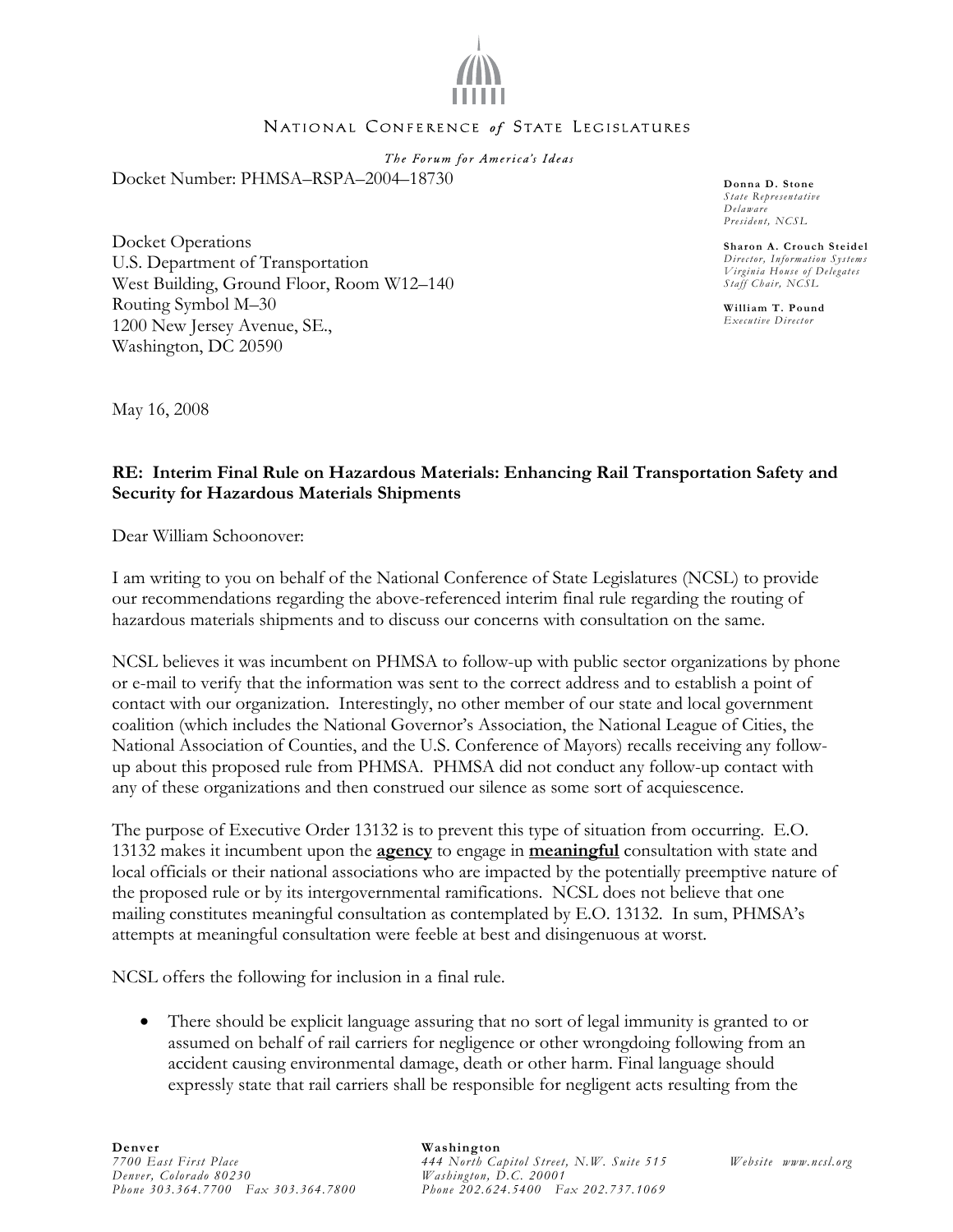

## NATIONAL CONFERENCE of STATE LEGISLATURES

The Forum for America's Ideas Docket Number: PHMSA–RSPA–2004–18730

Docket Operations U.S. Department of Transportation West Building, Ground Floor, Room W12–140 Routing Symbol M–30 1200 New Jersey Avenue, SE., Washington, DC 20590

**Donna D. Stone**  *State Representative Delaware President, NCSL* 

**Sharon A. Crouch Steidel**  *Director, Information Systems Virginia House of Delegates Staff Chair, NCSL* 

**William T. Pound**  *Executive Director* 

May 16, 2008

## **RE: Interim Final Rule on Hazardous Materials: Enhancing Rail Transportation Safety and Security for Hazardous Materials Shipments**

Dear William Schoonover:

I am writing to you on behalf of the National Conference of State Legislatures (NCSL) to provide our recommendations regarding the above-referenced interim final rule regarding the routing of hazardous materials shipments and to discuss our concerns with consultation on the same.

NCSL believes it was incumbent on PHMSA to follow-up with public sector organizations by phone or e-mail to verify that the information was sent to the correct address and to establish a point of contact with our organization. Interestingly, no other member of our state and local government coalition (which includes the National Governor's Association, the National League of Cities, the National Association of Counties, and the U.S. Conference of Mayors) recalls receiving any followup about this proposed rule from PHMSA. PHMSA did not conduct any follow-up contact with any of these organizations and then construed our silence as some sort of acquiescence.

The purpose of Executive Order 13132 is to prevent this type of situation from occurring. E.O. 13132 makes it incumbent upon the **agency** to engage in **meaningful** consultation with state and local officials or their national associations who are impacted by the potentially preemptive nature of the proposed rule or by its intergovernmental ramifications. NCSL does not believe that one mailing constitutes meaningful consultation as contemplated by E.O. 13132. In sum, PHMSA's attempts at meaningful consultation were feeble at best and disingenuous at worst.

NCSL offers the following for inclusion in a final rule.

There should be explicit language assuring that no sort of legal immunity is granted to or assumed on behalf of rail carriers for negligence or other wrongdoing following from an accident causing environmental damage, death or other harm. Final language should expressly state that rail carriers shall be responsible for negligent acts resulting from the

## **Washington**

*444 North Capitol Street, N.W. Suite 515 Washington, D.C. 20001 Phone 202.624.5400 Fax 202.737.1069*